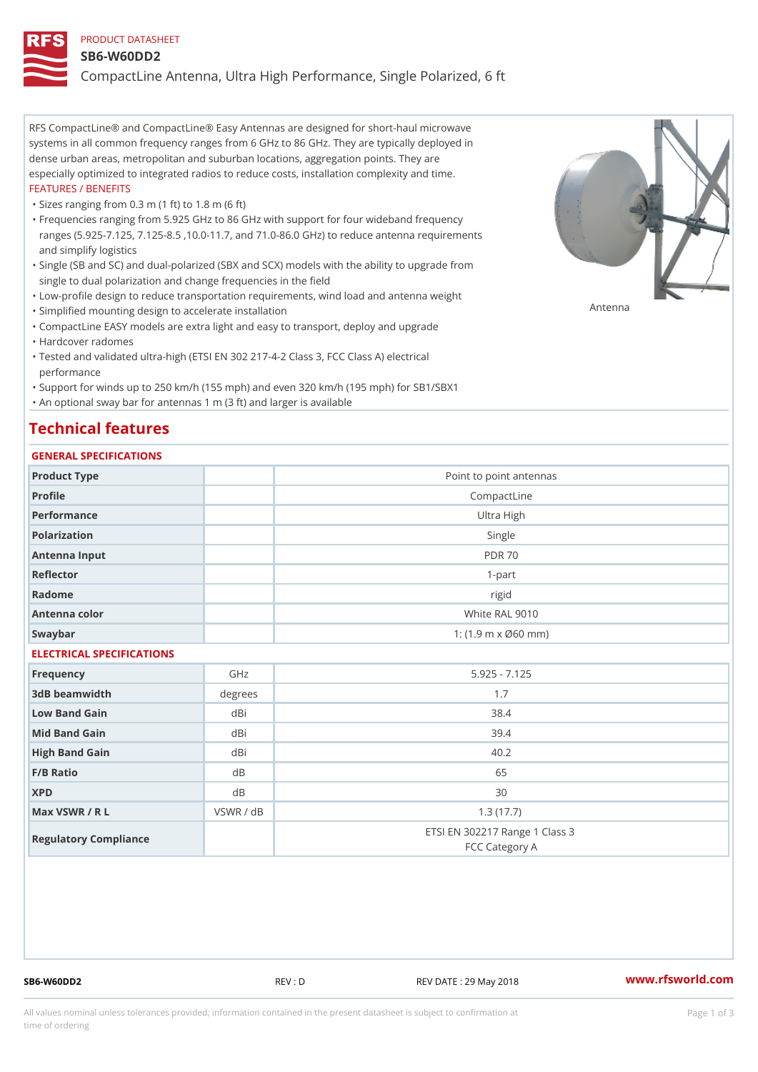#### PRODUCT DATASHEET

#### SB6-W60DD2

CompactLine Antenna, Ultra High Performance, Single Polarized, 6 ft

RFS CompactLine® and CompactLine® Easy Antennas are designed for short-haul microwave systems in all common frequency ranges from 6 GHz to 86 GHz. They are typically deployed in dense urban areas, metropolitan and suburban locations, aggregation points. They are especially optimized to integrated radios to reduce costs, installation complexity and time. FEATURES / BENEFITS

"Sizes ranging from 0.3 m (1 ft) to 1.8 m (6 ft)

- Frequencies ranging from 5.925 GHz to 86 GHz with support for four wideband frequency " ranges (5.925-7.125, 7.125-8.5 ,10.0-11.7, and 71.0-86.0 GHz) to reduce antenna requirements and simplify logistics
- Single (SB and SC) and dual-polarized (SBX and SCX) models with the ability to upgrade from " single to dual polarization and change frequencies in the field
- "Low-profile design to reduce transportation requirements, wind load and antenna weight
- "Simplified mounting design to accelerate installation

 "CompactLine EASY models are extra light and easy to transport, deploy and upgrade "Hardcover radomes

Tested and validated ultra-high (ETSI EN 302 217-4-2 Class 3, FCC Class A) electrical " performance

 "Support for winds up to 250 km/h (155 mph) and even 320 km/h (195 mph) for SB1/SBX1 "An optional sway bar for antennas 1 m (3 ft) and larger is available

## Technical features

#### GENERAL SPECIFICATIONS

| GENERAL SELGIFICATIONS    |           |                                                  |  |  |  |
|---------------------------|-----------|--------------------------------------------------|--|--|--|
| Product Type              |           | Point to point antennas                          |  |  |  |
| Profile                   |           | CompactLine                                      |  |  |  |
| Performance               |           | Ultra High                                       |  |  |  |
| Polarization              |           | Single                                           |  |  |  |
| Antenna Input             |           | <b>PDR 70</b>                                    |  |  |  |
| Reflector                 |           | $1-part$                                         |  |  |  |
| Radome                    |           | rigid                                            |  |  |  |
| Antenna color             |           | White RAL 9010                                   |  |  |  |
| Swaybar                   |           | 1: $(1.9 m \times 060 mm)$                       |  |  |  |
| ELECTRICAL SPECIFICATIONS |           |                                                  |  |  |  |
| Frequency                 | GHz       | $5.925 - 7.125$                                  |  |  |  |
| 3dB beamwidth             | degrees   | 1.7                                              |  |  |  |
| Low Band Gain             | dBi       | 38.4                                             |  |  |  |
| Mid Band Gain             | dBi       | 39.4                                             |  |  |  |
| High Band Gain            | dBi       | 40.2                                             |  |  |  |
| $F/B$ Ratio               | d B       | 65                                               |  |  |  |
| <b>XPD</b>                | d B       | 30                                               |  |  |  |
| Max VSWR / R L            | VSWR / dB | 1.3(17.7)                                        |  |  |  |
| Regulatory Compliance     |           | ETSI EN 302217 Range 1 Class 3<br>FCC Category A |  |  |  |

SB6-W60DD2 REV : D REV DATE : 29 May 2018 WWW.rfsworld.com

Antenna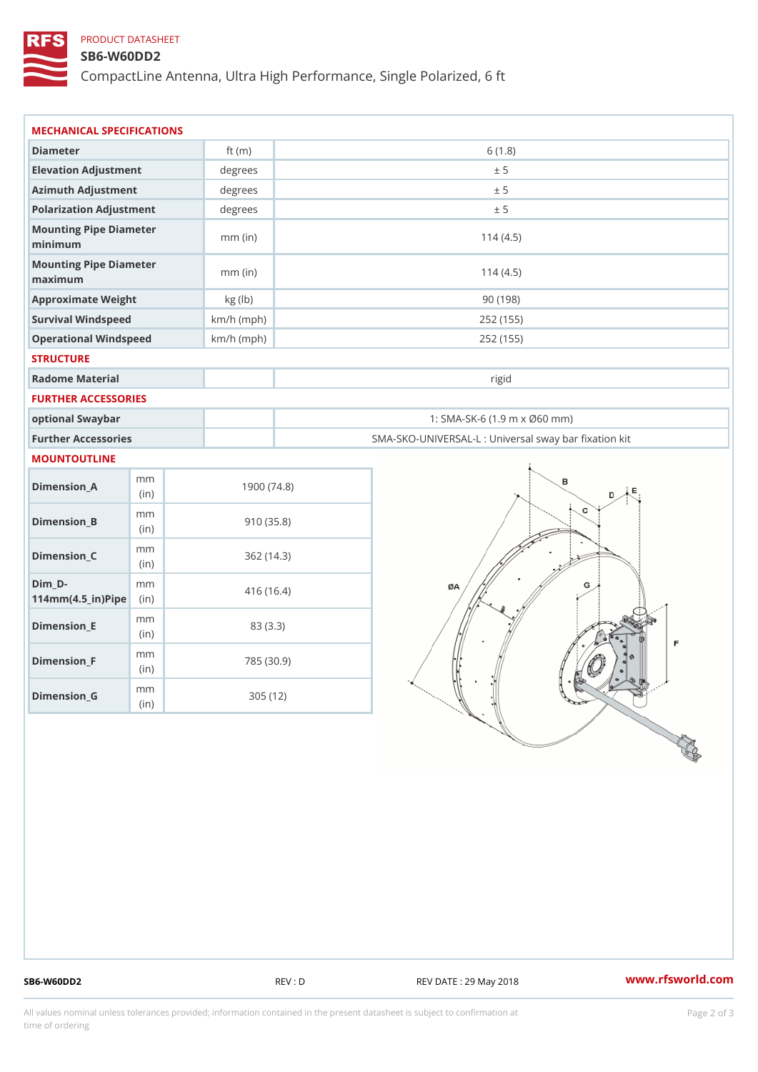### PRODUCT DATASHEET

#### SB6-W60DD2

CompactLine Antenna, Ultra High Performance, Single Polarized, 6 ft

| MECHANICAL SPECIFICATIONS                                              |                                 |              |                                                   |
|------------------------------------------------------------------------|---------------------------------|--------------|---------------------------------------------------|
| Diameter                                                               |                                 | ft $(m)$     | 6(1.8)                                            |
| Elevation Adjustment                                                   |                                 | degrees      | ± 5                                               |
| Azimuth Adjustment                                                     |                                 | degrees      | ± 5                                               |
| Polarization Adjustment                                                |                                 | degrees      | ± 5                                               |
| Mounting Pipe Diameter<br>minimum                                      |                                 | $mm$ (in)    | 114(4.5)                                          |
| Mounting Pipe Diameter<br>maximum                                      |                                 | $mm$ (in)    | 114(4.5)                                          |
| Approximate Weight                                                     |                                 | kg (lb)      | 90(198)                                           |
| Survival Windspeed                                                     |                                 | $km/h$ (mph) | 252 (155)                                         |
| Operational Windspeed                                                  |                                 | $km/h$ (mph) | 252 (155)                                         |
| <b>STRUCTURE</b>                                                       |                                 |              |                                                   |
| Radome Material                                                        |                                 |              | rigid                                             |
| FURTHER ACCESSORIES                                                    |                                 |              |                                                   |
| optional Swaybar                                                       |                                 |              | 1: SMA-SK-6 (1.9 m x Ø60 mm)                      |
| Further Accessories                                                    |                                 |              | SMA-SKO-UNIVERSAL-L : Universal sway bar fixation |
| <b>MOUNTOUTLINE</b>                                                    |                                 |              |                                                   |
| $Dimen sion_A$                                                         | m m<br>(in)                     |              | 1900(74.8)                                        |
| $Dimension_B$                                                          | m m<br>(in)                     |              | 910(35.8)                                         |
| $Dimenision_C$                                                         | m m<br>(in)                     |              | 362(14.3)                                         |
| $Dim_D - D -$<br>$114$ m m $(4.5$ ir $)$ $\sqrt{$ ii $\sqrt{p}}$ $\ge$ | m m                             |              | 416 (16.4)                                        |
| $Dimension$ _ $E$                                                      | m m<br>(in)                     |              | 83 (3.3)                                          |
| $Dimension_F$                                                          | m m<br>(in)                     |              | 785 (30.9)                                        |
| $D$ imension_G                                                         | $\mathsf m$ $\mathsf m$<br>(in) |              | 305(12)                                           |

SB6-W60DD2 REV : D REV : D REV DATE : 29 May 2018 WWW.rfsworld.com